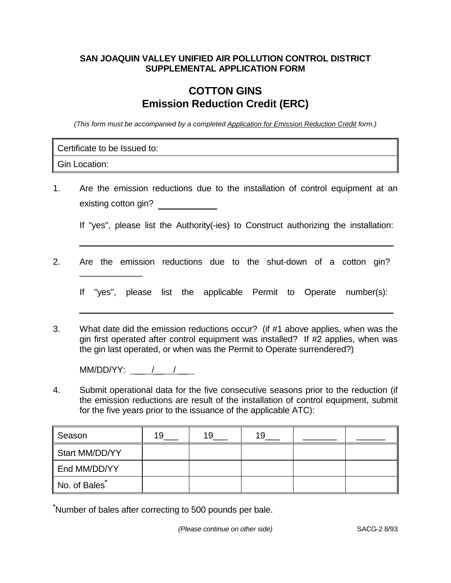## **SAN JOAQUIN VALLEY UNIFIED AIR POLLUTION CONTROL DISTRICT SUPPLEMENTAL APPLICATION FORM**

## **COTTON GINS Emission Reduction Credit (ERC)**

(This form must be accompanied by a completed Application for Emission Reduction Credit form.)

Certificate to be Issued to:

\_\_\_\_\_\_\_\_\_\_\_\_\_

Gin Location:

1. Are the emission reductions due to the installation of control equipment at an existing cotton gin? \_\_\_\_\_\_\_\_\_\_\_\_\_

If "yes", please list the Authority(-ies) to Construct authorizing the installation: \_\_\_\_\_\_\_\_\_\_\_\_\_\_\_\_\_\_\_\_\_\_\_\_\_\_\_\_\_\_\_\_\_\_\_\_\_\_\_\_\_\_\_\_\_\_\_\_

2. Are the emission reductions due to the shut-down of a cotton gin?

If "yes", please list the applicable Permit to Operate number(s):

\_\_\_\_\_\_\_\_\_\_\_\_\_\_\_\_\_\_\_\_\_\_\_\_\_\_\_\_\_\_\_\_\_\_\_\_\_\_\_\_\_\_\_\_\_\_\_\_

3. What date did the emission reductions occur? (if #1 above applies, when was the gin first operated after control equipment was installed? If #2 applies, when was the gin last operated, or when was the Permit to Operate surrendered?)

MM/DD/YY: \_\_ /\_\_ / \_\_

4. Submit operational data for the five consecutive seasons prior to the reduction (if the emission reductions are result of the installation of control equipment, submit for the five years prior to the issuance of the applicable ATC):

| Season         | 19 | 19 | 19 |  |
|----------------|----|----|----|--|
| Start MM/DD/YY |    |    |    |  |
| End MM/DD/YY   |    |    |    |  |
| No. of Bales   |    |    |    |  |

**\*** Number of bales after correcting to 500 pounds per bale.